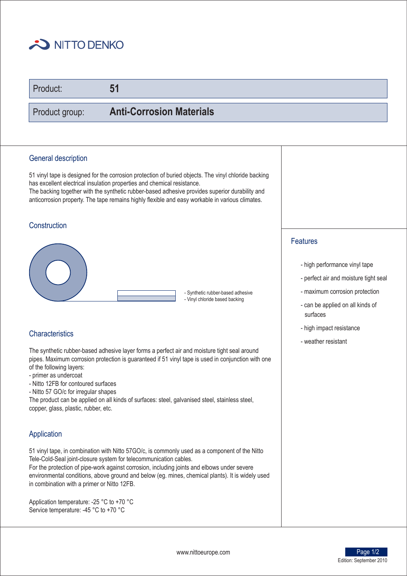

Product:

**51**

Product group:

**Anti-Corrosion Materials**

## General description

51 vinyl tape is designed for the corrosion protection of buried objects. The vinyl chloride backing has excellent electrical insulation properties and chemical resistance. The backing together with the synthetic rubber-based adhesive provides superior durability and

anticorrosion property. The tape remains highly flexible and easy workable in various climates.

## **Construction**



- Synthetic rubber-based adhesive - Vinyl chloride based backing

### **Characteristics**

The synthetic rubber-based adhesive layer forms a perfect air and moisture tight seal around pipes. Maximum corrosion protection is guaranteed if 51 vinyl tape is used in conjunction with one of the following layers:

- primer as undercoat
- Nitto 12FB for contoured surfaces
- Nitto 57 GO/c for irregular shapes

The product can be applied on all kinds of surfaces: steel, galvanised steel, stainless steel, copper, glass, plastic, rubber, etc.

## Application

51 vinyl tape, in combination with Nitto 57GO/c, is commonly used as a component of the Nitto Tele-Cold-Seal joint-closure system for telecommunication cables.

For the protection of pipe-work against corrosion, including joints and elbows under severe environmental conditions, above ground and below (eg. mines, chemical plants). It is widely used in combination with a primer or Nitto 12FB.

Application temperature: -25 °C to +70 °C Service temperature: -45 °C to +70 °C

## **Features**

- high performance vinyl tape
- perfect air and moisture tight seal
- maximum corrosion protection
- can be applied on all kinds of surfaces
- high impact resistance
- weather resistant